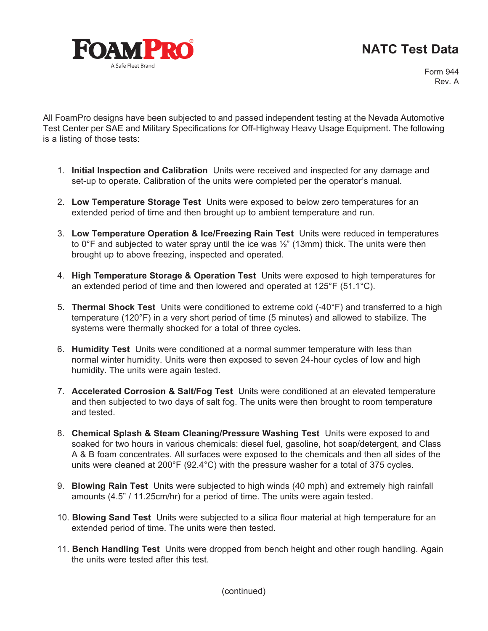## **NATC Test Data**



Form 944 Rev. A

All FoamPro designs have been subjected to and passed independent testing at the Nevada Automotive Test Center per SAE and Military Specifications for Off-Highway Heavy Usage Equipment. The following is a listing of those tests:

- 1. **Initial Inspection and Calibration** Units were received and inspected for any damage and set-up to operate. Calibration of the units were completed per the operator's manual.
- 2. **Low Temperature Storage Test** Units were exposed to below zero temperatures for an extended period of time and then brought up to ambient temperature and run.
- 3. **Low Temperature Operation & Ice/Freezing Rain Test** Units were reduced in temperatures to  $0^{\circ}$ F and subjected to water spray until the ice was  $\frac{1}{2}$ " (13mm) thick. The units were then brought up to above freezing, inspected and operated.
- 4. **High Temperature Storage & Operation Test** Units were exposed to high temperatures for an extended period of time and then lowered and operated at 125°F (51.1°C).
- 5. **Thermal Shock Test** Units were conditioned to extreme cold (-40°F) and transferred to a high temperature (120°F) in a very short period of time (5 minutes) and allowed to stabilize. The systems were thermally shocked for a total of three cycles.
- 6. **Humidity Test** Units were conditioned at a normal summer temperature with less than normal winter humidity. Units were then exposed to seven 24-hour cycles of low and high humidity. The units were again tested.
- 7. **Accelerated Corrosion & Salt/Fog Test** Units were conditioned at an elevated temperature and then subjected to two days of salt fog. The units were then brought to room temperature and tested.
- 8. **Chemical Splash & Steam Cleaning/Pressure Washing Test** Units were exposed to and soaked for two hours in various chemicals: diesel fuel, gasoline, hot soap/detergent, and Class A & B foam concentrates. All surfaces were exposed to the chemicals and then all sides of the units were cleaned at 200°F (92.4°C) with the pressure washer for a total of 375 cycles.
- 9. **Blowing Rain Test** Units were subjected to high winds (40 mph) and extremely high rainfall amounts (4.5" / 11.25cm/hr) for a period of time. The units were again tested.
- 10. **Blowing Sand Test** Units were subjected to a silica flour material at high temperature for an extended period of time. The units were then tested.
- 11. **Bench Handling Test** Units were dropped from bench height and other rough handling. Again the units were tested after this test.